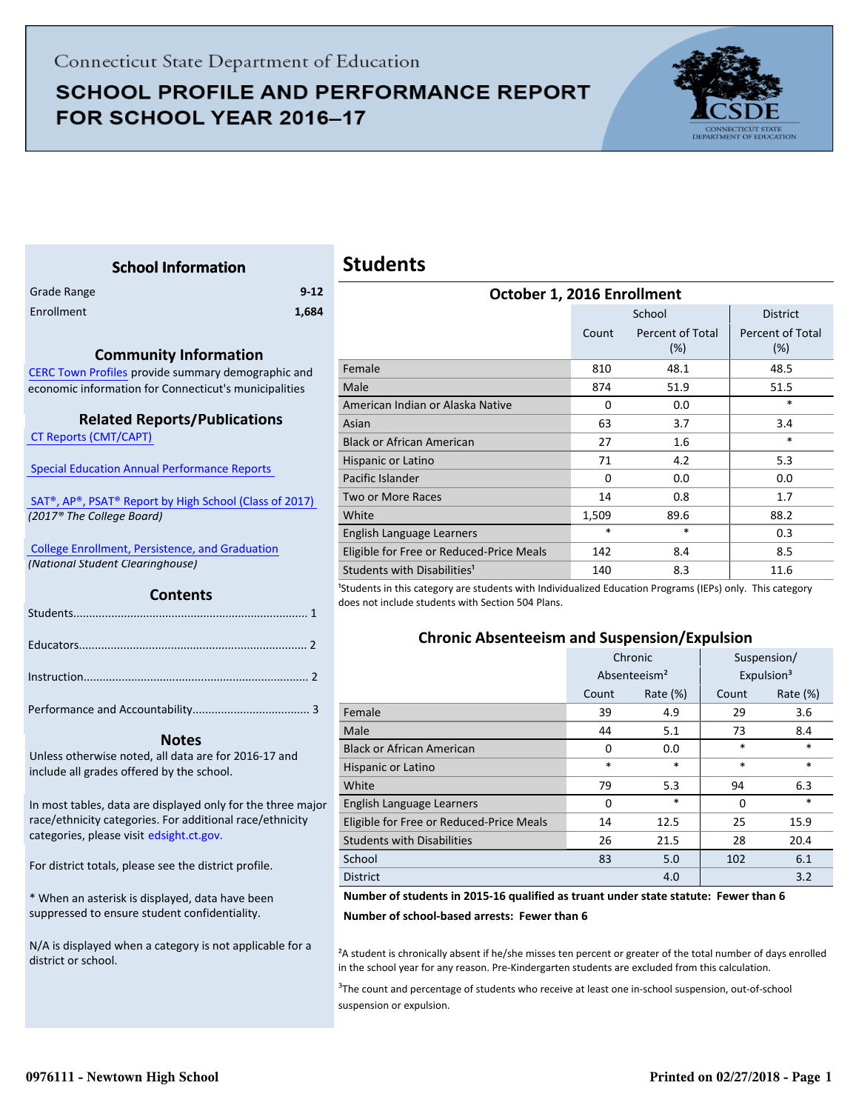## **SCHOOL PROFILE AND PERFORMANCE REPORT** FOR SCHOOL YEAR 2016-17



## **Students**

<span id="page-0-0"></span>

| Grade Range | $9 - 12$ |
|-------------|----------|
| Enrollment  | 1,684    |

#### **Community Information**

**School Information**

[CERC Town Profiles provide summary demographic and](http://www.cerc.com/townprofiles/) economic information for Connecticut's municipalities

#### **Related Reports/Publications**

 [CT Reports \(CMT/CAPT\)](http://ctreports.com/) 

 [Special Education Annual Performance Reports](http://edsight.ct.gov/SASPortal/main.do) 

 [SAT®, AP®, PSAT® Report by High School \(Class of 2017\)](http://edsight.ct.gov/relatedreports/SAT,%20AP,%20PSAT%20Score%20Summary%20by%20High%20School%20Class%20of%202017.pdf)   *(2017® The College Board)*

 [College Enrollment, Persistence, and Graduation](http://www.sde.ct.gov/sde/cwp/view.asp?a=2758&Q=335288)  *(National Student Clearinghouse)*

#### **Contents**

#### **Notes**

Unless otherwise noted, all data are for 2016-17 and include all grades offered by the school.

[In most tables, data are displayed only for the three major](http://edsight.ct.gov/) race/ethnicity categories. For additional race/ethnicity categories, please visit edsight.ct.gov.

For district totals, please see the district profile.

\* When an asterisk is displayed, data have been suppressed to ensure student confidentiality.

N/A is displayed when a category is not applicable for a district or school.

| October 1, 2016 Enrollment               |          |                         |                         |  |  |
|------------------------------------------|----------|-------------------------|-------------------------|--|--|
|                                          |          | School                  | <b>District</b>         |  |  |
|                                          | Count    | Percent of Total<br>(%) | Percent of Total<br>(%) |  |  |
| Female                                   | 810      | 48.1                    | 48.5                    |  |  |
| Male                                     | 874      | 51.9                    | 51.5                    |  |  |
| American Indian or Alaska Native         | $\Omega$ | 0.0                     | $\ast$                  |  |  |
| Asian                                    | 63       | 3.7                     | 3.4                     |  |  |
| <b>Black or African American</b>         | 27       | 1.6                     | $\ast$                  |  |  |
| Hispanic or Latino                       | 71       | 4.2                     | 5.3                     |  |  |
| Pacific Islander                         | $\Omega$ | 0.0                     | 0.0                     |  |  |
| Two or More Races                        | 14       | 0.8                     | 1.7                     |  |  |
| White                                    | 1,509    | 89.6                    | 88.2                    |  |  |
| English Language Learners                | $\ast$   | $\ast$                  | 0.3                     |  |  |
| Eligible for Free or Reduced-Price Meals | 142      | 8.4                     | 8.5                     |  |  |
| Students with Disabilities <sup>1</sup>  | 140      | 8.3                     | 11.6                    |  |  |

<sup>1</sup>Students in this category are students with Individualized Education Programs (IEPs) only. This category does not include students with Section 504 Plans.

#### **Chronic Absenteeism and Suspension/Expulsion**

|                                          | Chronic |                          | Suspension/ |                        |
|------------------------------------------|---------|--------------------------|-------------|------------------------|
|                                          |         | Absenteeism <sup>2</sup> |             | Expulsion <sup>3</sup> |
|                                          | Count   | Rate $(\%)$              | Count       | Rate $(\%)$            |
| Female                                   | 39      | 4.9                      | 29          | 3.6                    |
| Male                                     | 44      | 5.1                      | 73          | 8.4                    |
| <b>Black or African American</b>         | 0       | 0.0                      | $\ast$      | $\ast$                 |
| Hispanic or Latino                       | $\ast$  | $\ast$                   | $\ast$      | $\ast$                 |
| White                                    | 79      | 5.3                      | 94          | 6.3                    |
| English Language Learners                | 0       | $\ast$                   | 0           | *                      |
| Eligible for Free or Reduced-Price Meals | 14      | 12.5                     | 25          | 15.9                   |
| <b>Students with Disabilities</b>        | 26      | 21.5                     | 28          | 20.4                   |
| School                                   | 83      | 5.0                      | 102         | 6.1                    |
| <b>District</b>                          |         | 4.0                      |             | 3.2                    |

#### **Number of students in 2015-16 qualified as truant under state statute: Fewer than 6**

**Number of school-based arrests: Fewer than 6**

²A student is chronically absent if he/she misses ten percent or greater of the total number of days enrolled in the school year for any reason. Pre-Kindergarten students are excluded from this calculation.

<sup>3</sup>The count and percentage of students who receive at least one in-school suspension, out-of-school suspension or expulsion.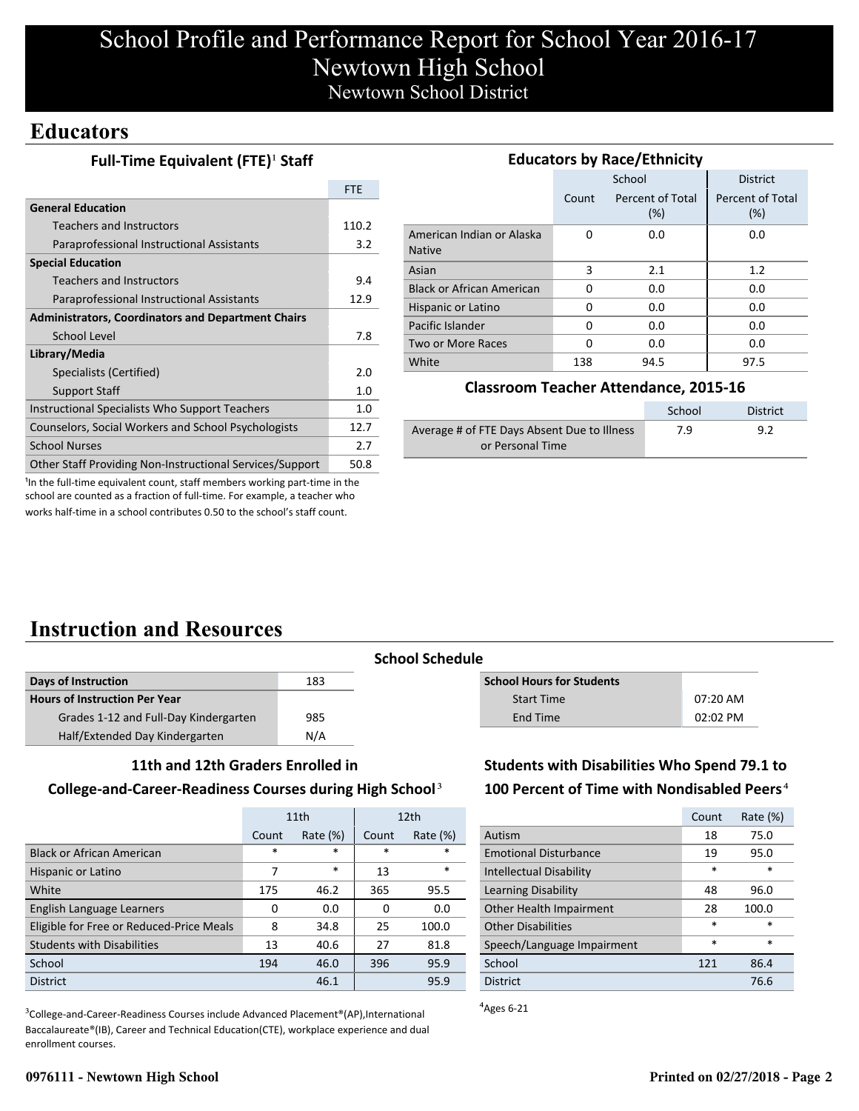## **Educators**

### **Full-Time Equivalent (FTE)<sup>1</sup> Staff**

|                                                           | <b>FTE</b> |
|-----------------------------------------------------------|------------|
| <b>General Education</b>                                  |            |
| Teachers and Instructors                                  | 110.2      |
| Paraprofessional Instructional Assistants                 | 3.2        |
| <b>Special Education</b>                                  |            |
| <b>Teachers and Instructors</b>                           | 9.4        |
| Paraprofessional Instructional Assistants                 | 12.9       |
| <b>Administrators, Coordinators and Department Chairs</b> |            |
| School Level                                              | 7.8        |
| Library/Media                                             |            |
| Specialists (Certified)                                   | 2.0        |
| <b>Support Staff</b>                                      | 1.0        |
| Instructional Specialists Who Support Teachers            | 1.0        |
| Counselors, Social Workers and School Psychologists       | 12.7       |
| <b>School Nurses</b>                                      | 2.7        |
| Other Staff Providing Non-Instructional Services/Support  | 50.8       |

| <b>Educators by Race/Ethnicity</b>         |       |                         |                         |  |  |  |
|--------------------------------------------|-------|-------------------------|-------------------------|--|--|--|
|                                            |       | School                  | <b>District</b>         |  |  |  |
|                                            | Count | Percent of Total<br>(%) | Percent of Total<br>(%) |  |  |  |
| American Indian or Alaska<br><b>Native</b> | 0     | 0.0                     | 0.0                     |  |  |  |
| Asian                                      | 3     | 2.1                     | 1.2                     |  |  |  |
| <b>Black or African American</b>           | 0     | 0.0                     | 0.0                     |  |  |  |
| Hispanic or Latino                         | O     | 0.0                     | 0.0                     |  |  |  |
| Pacific Islander                           | O     | 0.0                     | 0.0                     |  |  |  |
| Two or More Races                          | O     | 0.0                     | 0.0                     |  |  |  |
| White                                      | 138   | 94.5                    | 97.5                    |  |  |  |

#### **Classroom Teacher Attendance, 2015-16**

|                                             | School | <b>District</b> |
|---------------------------------------------|--------|-----------------|
| Average # of FTE Days Absent Due to Illness | 7.9    | 9.2             |
| or Personal Time                            |        |                 |

<sup>1</sup>In the full-time equivalent count, staff members working part-time in the school are counted as a fraction of full-time. For example, a teacher who works half-time in a school contributes 0.50 to the school's staff count.

# **Instruction and Resources**

| Days of Instruction                   | 183 |
|---------------------------------------|-----|
| <b>Hours of Instruction Per Year</b>  |     |
| Grades 1-12 and Full-Day Kindergarten | 985 |
| Half/Extended Day Kindergarten        | N/A |

### **School Schedule**

| <b>School Hours for Students</b> |            |
|----------------------------------|------------|
| Start Time                       | $07:20$ AM |
| End Time                         | $02:02$ PM |

#### **11th and 12th Graders Enrolled in**

#### **College-and-Career-Readiness Courses during High School**³

|                                          | 11th   |             |       | 12 <sub>th</sub> |
|------------------------------------------|--------|-------------|-------|------------------|
|                                          | Count  | Rate $(\%)$ | Count | Rate $(\%)$      |
| <b>Black or African American</b>         | $\ast$ | $\ast$      | *     | *                |
| Hispanic or Latino                       | 7      | $\ast$      | 13    | $\ast$           |
| White                                    | 175    | 46.2        | 365   | 95.5             |
| English Language Learners                | 0      | 0.0         | 0     | 0.0              |
| Eligible for Free or Reduced-Price Meals | 8      | 34.8        | 25    | 100.0            |
| <b>Students with Disabilities</b>        | 13     | 40.6        | 27    | 81.8             |
| School                                   | 194    | 46.0        | 396   | 95.9             |
| <b>District</b>                          |        | 46.1        |       | 95.9             |

<sup>3</sup>College-and-Career-Readiness Courses include Advanced Placement®(AP),International Baccalaureate®(IB), Career and Technical Education(CTE), workplace experience and dual enrollment courses.

### **Students with Disabilities Who Spend 79.1 to 100 Percent of Time with Nondisabled Peers**⁴

|                                | Count  | Rate (%) |
|--------------------------------|--------|----------|
| Autism                         | 18     | 75.0     |
| <b>Emotional Disturbance</b>   | 19     | 95.0     |
| <b>Intellectual Disability</b> | *      | $\ast$   |
| Learning Disability            | 48     | 96.0     |
| Other Health Impairment        | 28     | 100.0    |
| <b>Other Disabilities</b>      | $\ast$ | $\ast$   |
| Speech/Language Impairment     | $\ast$ | $\ast$   |
| School                         | 121    | 86.4     |
| <b>District</b>                |        | 76.6     |

 $A$ <sub>Ages</sub> 6-21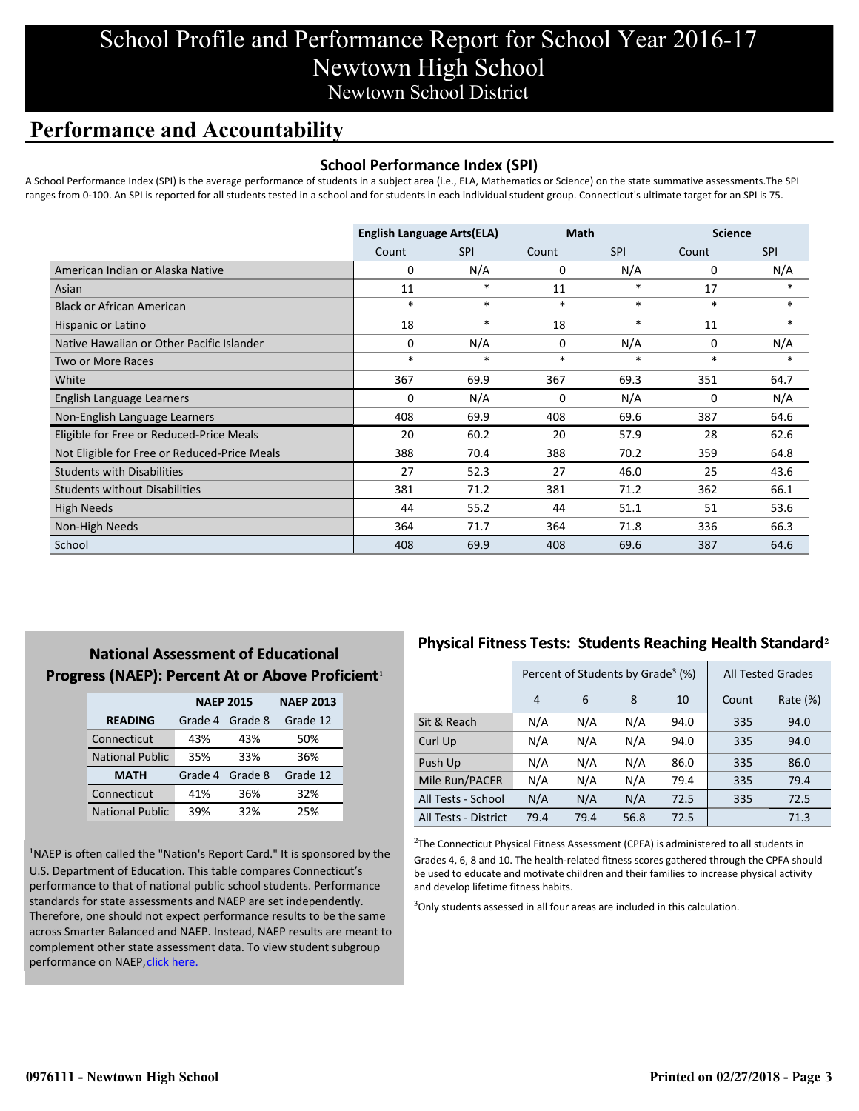## **Performance and Accountability**

### **School Performance Index (SPI)**

A School Performance Index (SPI) is the average performance of students in a subject area (i.e., ELA, Mathematics or Science) on the state summative assessments.The SPI ranges from 0-100. An SPI is reported for all students tested in a school and for students in each individual student group. Connecticut's ultimate target for an SPI is 75.

|                                              | <b>English Language Arts(ELA)</b> |            | <b>Math</b> |            | <b>Science</b> |            |
|----------------------------------------------|-----------------------------------|------------|-------------|------------|----------------|------------|
|                                              | Count                             | <b>SPI</b> | Count       | <b>SPI</b> | Count          | <b>SPI</b> |
| American Indian or Alaska Native             | 0                                 | N/A        | 0           | N/A        | 0              | N/A        |
| Asian                                        | 11                                | *          | 11          | *          | 17             | *          |
| <b>Black or African American</b>             | $\ast$                            | $\ast$     | $\ast$      | $\ast$     | $\ast$         | $\ast$     |
| Hispanic or Latino                           | 18                                | $\ast$     | 18          | $\ast$     | 11             | $\ast$     |
| Native Hawaiian or Other Pacific Islander    | 0                                 | N/A        | 0           | N/A        | 0              | N/A        |
| Two or More Races                            | $\ast$                            | $\ast$     | $\ast$      | $\ast$     | $\ast$         | $\ast$     |
| White                                        | 367                               | 69.9       | 367         | 69.3       | 351            | 64.7       |
| English Language Learners                    | 0                                 | N/A        | 0           | N/A        | 0              | N/A        |
| Non-English Language Learners                | 408                               | 69.9       | 408         | 69.6       | 387            | 64.6       |
| Eligible for Free or Reduced-Price Meals     | 20                                | 60.2       | 20          | 57.9       | 28             | 62.6       |
| Not Eligible for Free or Reduced-Price Meals | 388                               | 70.4       | 388         | 70.2       | 359            | 64.8       |
| <b>Students with Disabilities</b>            | 27                                | 52.3       | 27          | 46.0       | 25             | 43.6       |
| <b>Students without Disabilities</b>         | 381                               | 71.2       | 381         | 71.2       | 362            | 66.1       |
| <b>High Needs</b>                            | 44                                | 55.2       | 44          | 51.1       | 51             | 53.6       |
| Non-High Needs                               | 364                               | 71.7       | 364         | 71.8       | 336            | 66.3       |
| School                                       | 408                               | 69.9       | 408         | 69.6       | 387            | 64.6       |

### **National Assessment of Educational Progress (NAEP): Percent At or Above Proficient1**

|                        | <b>NAEP 2015</b> | <b>NAEP 2013</b> |          |
|------------------------|------------------|------------------|----------|
| <b>READING</b>         | Grade 4          | Grade 8          | Grade 12 |
| Connecticut            | 43%              | 43%              | 50%      |
| <b>National Public</b> | 35%              | 33%              | 36%      |
| <b>MATH</b>            | Grade 4          | Grade 8          | Grade 12 |
| Connecticut            | 41%              | 36%              | 32%      |
| <b>National Public</b> | 39%              | 32%              | 25%      |

<sup>1</sup>NAEP is often called the "Nation's Report Card." It is sponsored by the U.S. Department of Education. This table compares Connecticut's performance to that of national public school students. Performance standards for state assessments and NAEP are set independently. Therefore, one should not expect performance results to be the same [across Smarter Balanced and NAEP. Instead, NAEP results are meant to](http://portal.ct.gov/-/media/SDE/Student-Assessment/NAEP/ct_naep_2015_results_by_performance_level.pdf?la=en) complement other state assessment data. To view student subgroup performance on NAEP, click here.

## **Physical Fitness Tests: Students Reaching Health Standard**²

|                      | Percent of Students by Grade <sup>3</sup> (%) |      |      |      |       | <b>All Tested Grades</b> |
|----------------------|-----------------------------------------------|------|------|------|-------|--------------------------|
|                      | $\overline{4}$                                | 6    | 8    | 10   | Count | Rate (%)                 |
| Sit & Reach          | N/A                                           | N/A  | N/A  | 94.0 | 335   | 94.0                     |
| Curl Up              | N/A                                           | N/A  | N/A  | 94.0 | 335   | 94.0                     |
| Push Up              | N/A                                           | N/A  | N/A  | 86.0 | 335   | 86.0                     |
| Mile Run/PACER       | N/A                                           | N/A  | N/A  | 79.4 | 335   | 79.4                     |
| All Tests - School   | N/A                                           | N/A  | N/A  | 72.5 | 335   | 72.5                     |
| All Tests - District | 79.4                                          | 79.4 | 56.8 | 72.5 |       | 71.3                     |

 $2$ The Connecticut Physical Fitness Assessment (CPFA) is administered to all students in Grades 4, 6, 8 and 10. The health-related fitness scores gathered through the CPFA should be used to educate and motivate children and their families to increase physical activity and develop lifetime fitness habits.

<sup>3</sup>Only students assessed in all four areas are included in this calculation.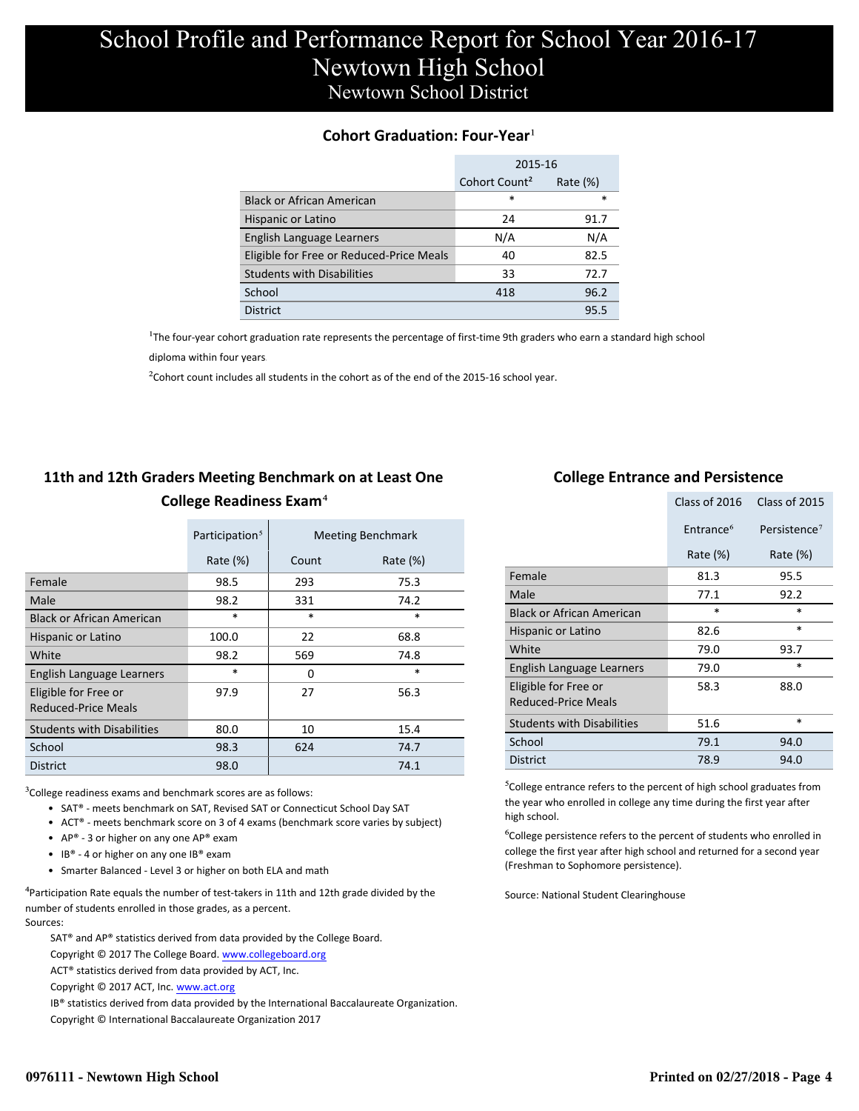### **Cohort Graduation: Four-Year**<sup>1</sup>

|                                          | 2015-16                   |             |
|------------------------------------------|---------------------------|-------------|
|                                          | Cohort Count <sup>2</sup> | Rate $(\%)$ |
| <b>Black or African American</b>         | *                         | $\ast$      |
| Hispanic or Latino                       | 24                        | 91.7        |
| English Language Learners                | N/A                       | N/A         |
| Eligible for Free or Reduced-Price Meals | 40                        | 82.5        |
| <b>Students with Disabilities</b>        | 33                        | 72.7        |
| School                                   | 418                       | 96.2        |
| <b>District</b>                          |                           | 95.5        |

<sup>1</sup>The four-year cohort graduation rate represents the percentage of first-time 9th graders who earn a standard high school

[diploma within four years.](http://www.sde.ct.gov/sde/cwp/view.asp?a=2758&q=334898)

 $2$ Cohort count includes all students in the cohort as of the end of the 2015-16 school year.

### **11th and 12th Graders Meeting Benchmark on at Least One College Readiness Exam**⁴

|                                             | Participation <sup>5</sup> |        | <b>Meeting Benchmark</b> |
|---------------------------------------------|----------------------------|--------|--------------------------|
|                                             | Rate $(\%)$                | Count  | Rate $(\%)$              |
| Female                                      | 98.5                       | 293    | 75.3                     |
| Male                                        | 98.2                       | 331    | 74.2                     |
| <b>Black or African American</b>            | $\ast$                     | $\ast$ | $\ast$                   |
| Hispanic or Latino                          | 100.0                      | 22     | 68.8                     |
| White                                       | 98.2                       | 569    | 74.8                     |
| English Language Learners                   | $\ast$                     | 0      | $\ast$                   |
| Eligible for Free or<br>Reduced-Price Meals | 97.9                       | 27     | 56.3                     |
| <b>Students with Disabilities</b>           | 80.0                       | 10     | 15.4                     |
| School                                      | 98.3                       | 624    | 74.7                     |
| <b>District</b>                             | 98.0                       |        | 74.1                     |

 $3$ College readiness exams and benchmark scores are as follows:

- SAT® meets benchmark on SAT, Revised SAT or Connecticut School Day SAT
- ACT® meets benchmark score on 3 of 4 exams (benchmark score varies by subject)
- AP® 3 or higher on any one  $AP^®$  exam
- IB® 4 or higher on any one IB® exam
- Smarter Balanced Level 3 or higher on both ELA and math

 $4$ Participation Rate equals the number of test-takers in 11th and 12th grade divided by the number of students enrolled in those grades, as a percent. Sources:

SAT® and AP® statistics derived from data provided by the College Board.

Copyright © 2017 The College Board. www.collegeboard.org

ACT® statistics derived from data provided by ACT, Inc.

Copyright © 2017 ACT, Inc. www.act.org

IB® statistics derived from data provided by the International Baccalaureate Organization.

Copyright © International Baccalaureate Organization 2017

#### **College Entrance and Persistence**

|                                                    | Class of 2016         | Class of 2015            |
|----------------------------------------------------|-----------------------|--------------------------|
|                                                    | Entrance <sup>6</sup> | Persistence <sup>7</sup> |
|                                                    | Rate $(\%)$           | Rate (%)                 |
| Female                                             | 81.3                  | 95.5                     |
| Male                                               | 77.1                  | 92.2                     |
| <b>Black or African American</b>                   | $\ast$                | $\ast$                   |
| Hispanic or Latino                                 | 82.6                  | *                        |
| White                                              | 79.0                  | 93.7                     |
| English Language Learners                          | 79.0                  | $\ast$                   |
| Eligible for Free or<br><b>Reduced-Price Meals</b> | 58.3                  | 88.0                     |
| <b>Students with Disabilities</b>                  | 51.6                  | $\ast$                   |
| School                                             | 79.1                  | 94.0                     |
| <b>District</b>                                    | 78.9                  | 94.0                     |

⁵College entrance refers to the percent of high school graduates from the year who enrolled in college any time during the first year after high school.

⁶College persistence refers to the percent of students who enrolled in college the first year after high school and returned for a second year (Freshman to Sophomore persistence).

Source: National Student Clearinghouse